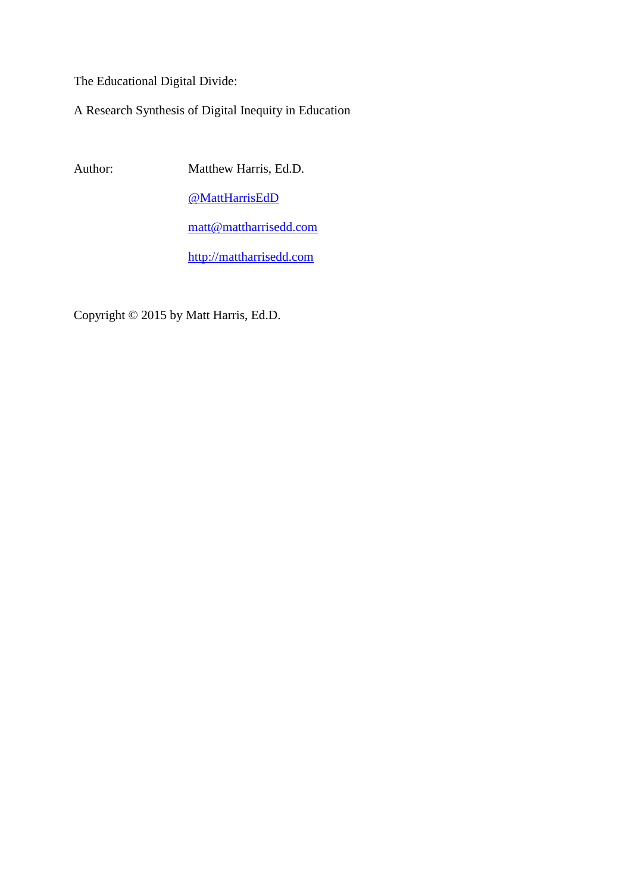The Educational Digital Divide:

A Research Synthesis of Digital Inequity in Education

Author: Matthew Harris, Ed.D.

[@MattHarrisEdD](https://twitter.com/mattharrisedd)

[matt@mattharrisedd.com](mailto:matt@mattharrisedd.com)

[http://mattharrisedd.com](http://mattharrisedd.com/)

Copyright © 2015 by Matt Harris, Ed.D.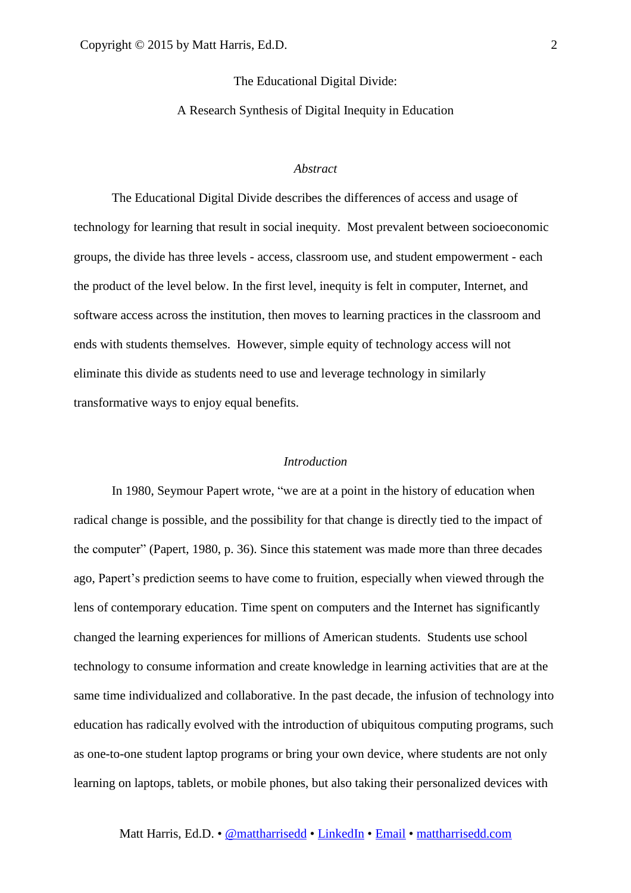The Educational Digital Divide:

A Research Synthesis of Digital Inequity in Education

# *Abstract*

The Educational Digital Divide describes the differences of access and usage of technology for learning that result in social inequity. Most prevalent between socioeconomic groups, the divide has three levels - access, classroom use, and student empowerment - each the product of the level below. In the first level, inequity is felt in computer, Internet, and software access across the institution, then moves to learning practices in the classroom and ends with students themselves. However, simple equity of technology access will not eliminate this divide as students need to use and leverage technology in similarly transformative ways to enjoy equal benefits.

# *Introduction*

In 1980, Seymour Papert wrote, "we are at a point in the history of education when radical change is possible, and the possibility for that change is directly tied to the impact of the computer" (Papert, 1980, p. 36). Since this statement was made more than three decades ago, Papert's prediction seems to have come to fruition, especially when viewed through the lens of contemporary education. Time spent on computers and the Internet has significantly changed the learning experiences for millions of American students. Students use school technology to consume information and create knowledge in learning activities that are at the same time individualized and collaborative. In the past decade, the infusion of technology into education has radically evolved with the introduction of ubiquitous computing programs, such as one-to-one student laptop programs or bring your own device, where students are not only learning on laptops, tablets, or mobile phones, but also taking their personalized devices with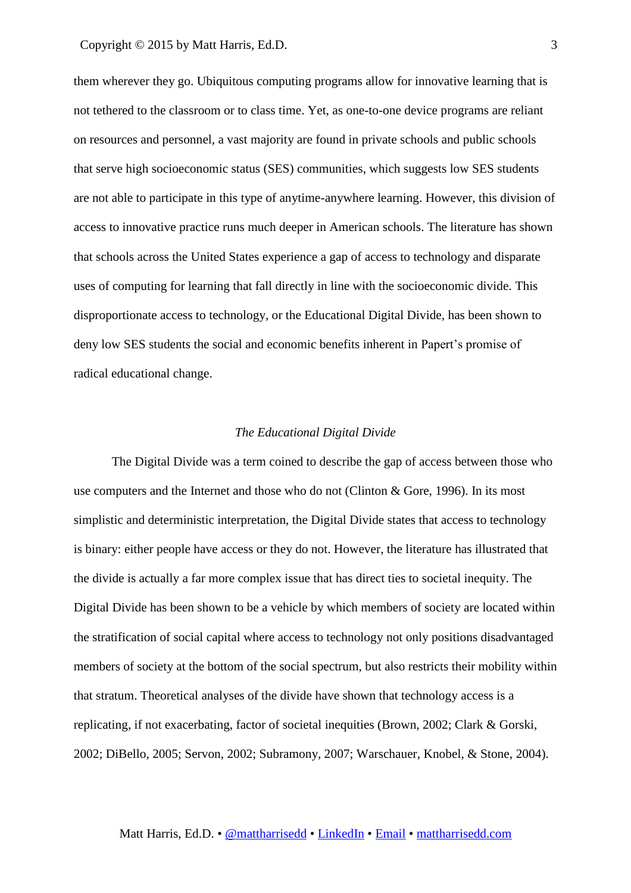them wherever they go. Ubiquitous computing programs allow for innovative learning that is not tethered to the classroom or to class time. Yet, as one-to-one device programs are reliant on resources and personnel, a vast majority are found in private schools and public schools that serve high socioeconomic status (SES) communities, which suggests low SES students are not able to participate in this type of anytime-anywhere learning. However, this division of access to innovative practice runs much deeper in American schools. The literature has shown that schools across the United States experience a gap of access to technology and disparate uses of computing for learning that fall directly in line with the socioeconomic divide. This disproportionate access to technology, or the Educational Digital Divide, has been shown to deny low SES students the social and economic benefits inherent in Papert's promise of radical educational change.

### *The Educational Digital Divide*

The Digital Divide was a term coined to describe the gap of access between those who use computers and the Internet and those who do not (Clinton & Gore, 1996). In its most simplistic and deterministic interpretation, the Digital Divide states that access to technology is binary: either people have access or they do not. However, the literature has illustrated that the divide is actually a far more complex issue that has direct ties to societal inequity. The Digital Divide has been shown to be a vehicle by which members of society are located within the stratification of social capital where access to technology not only positions disadvantaged members of society at the bottom of the social spectrum, but also restricts their mobility within that stratum. Theoretical analyses of the divide have shown that technology access is a replicating, if not exacerbating, factor of societal inequities (Brown, 2002; Clark & Gorski, 2002; DiBello, 2005; Servon, 2002; Subramony, 2007; Warschauer, Knobel, & Stone, 2004).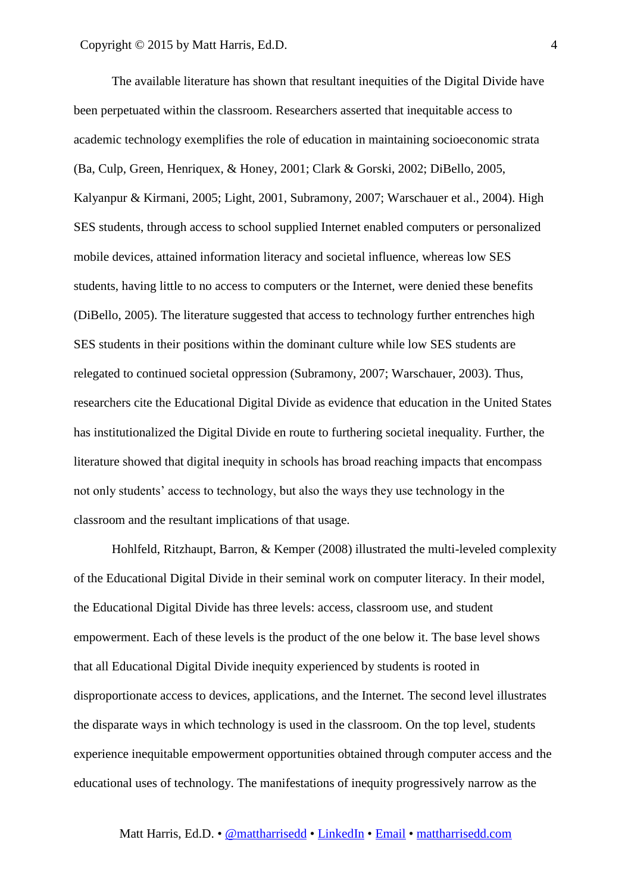The available literature has shown that resultant inequities of the Digital Divide have been perpetuated within the classroom. Researchers asserted that inequitable access to academic technology exemplifies the role of education in maintaining socioeconomic strata (Ba, Culp, Green, Henriquex, & Honey, 2001; Clark & Gorski, 2002; DiBello, 2005, Kalyanpur & Kirmani, 2005; Light, 2001, Subramony, 2007; Warschauer et al., 2004). High SES students, through access to school supplied Internet enabled computers or personalized mobile devices, attained information literacy and societal influence, whereas low SES students, having little to no access to computers or the Internet, were denied these benefits (DiBello, 2005). The literature suggested that access to technology further entrenches high SES students in their positions within the dominant culture while low SES students are relegated to continued societal oppression (Subramony, 2007; Warschauer, 2003). Thus, researchers cite the Educational Digital Divide as evidence that education in the United States has institutionalized the Digital Divide en route to furthering societal inequality. Further, the literature showed that digital inequity in schools has broad reaching impacts that encompass not only students' access to technology, but also the ways they use technology in the classroom and the resultant implications of that usage.

Hohlfeld, Ritzhaupt, Barron, & Kemper (2008) illustrated the multi-leveled complexity of the Educational Digital Divide in their seminal work on computer literacy. In their model, the Educational Digital Divide has three levels: access, classroom use, and student empowerment. Each of these levels is the product of the one below it. The base level shows that all Educational Digital Divide inequity experienced by students is rooted in disproportionate access to devices, applications, and the Internet. The second level illustrates the disparate ways in which technology is used in the classroom. On the top level, students experience inequitable empowerment opportunities obtained through computer access and the educational uses of technology. The manifestations of inequity progressively narrow as the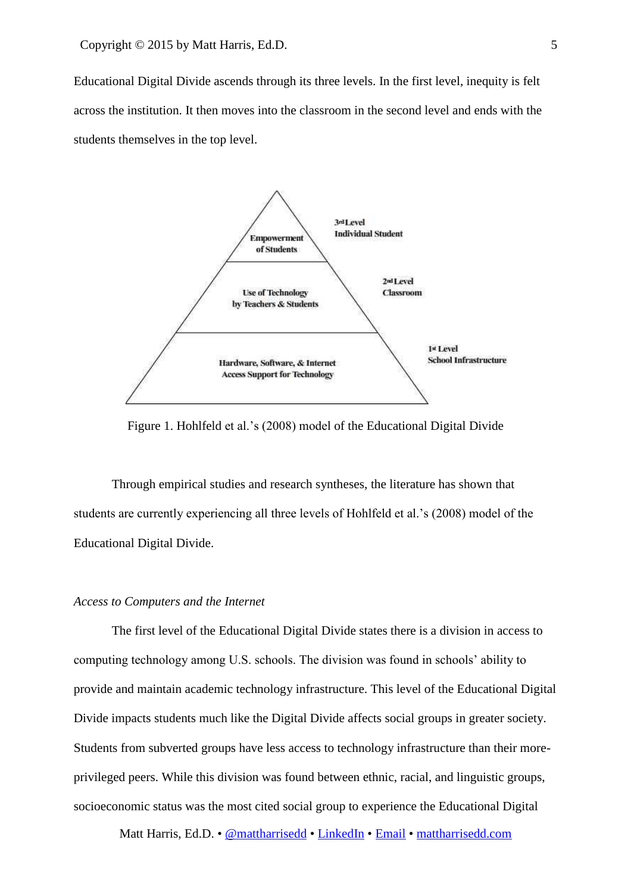Educational Digital Divide ascends through its three levels. In the first level, inequity is felt across the institution. It then moves into the classroom in the second level and ends with the students themselves in the top level.



Figure 1. Hohlfeld et al.'s (2008) model of the Educational Digital Divide

Through empirical studies and research syntheses, the literature has shown that students are currently experiencing all three levels of Hohlfeld et al.'s (2008) model of the Educational Digital Divide.

### *Access to Computers and the Internet*

The first level of the Educational Digital Divide states there is a division in access to computing technology among U.S. schools. The division was found in schools' ability to provide and maintain academic technology infrastructure. This level of the Educational Digital Divide impacts students much like the Digital Divide affects social groups in greater society. Students from subverted groups have less access to technology infrastructure than their moreprivileged peers. While this division was found between ethnic, racial, and linguistic groups, socioeconomic status was the most cited social group to experience the Educational Digital

Matt Harris, Ed.D. • [@mattharrisedd](https://twitter.com/mattharrisedd) • [LinkedIn](http://j.mp/mattharrisedd) • [Email](mailto:matt@mattharrisedd.com) • [mattharrisedd.com](http://www.mattharrisedd.com/)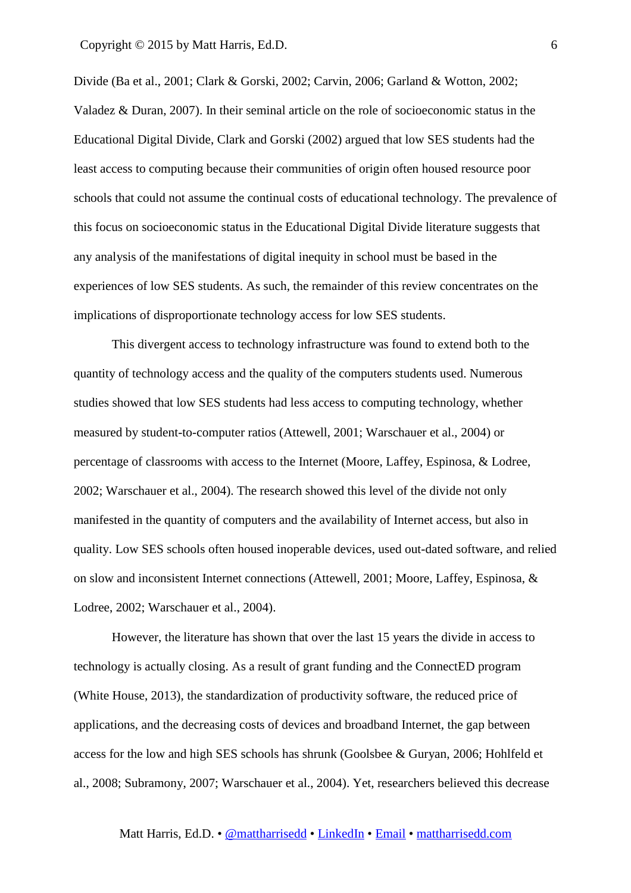Divide (Ba et al., 2001; Clark & Gorski, 2002; Carvin, 2006; Garland & Wotton, 2002; Valadez & Duran, 2007). In their seminal article on the role of socioeconomic status in the Educational Digital Divide, Clark and Gorski (2002) argued that low SES students had the least access to computing because their communities of origin often housed resource poor schools that could not assume the continual costs of educational technology. The prevalence of this focus on socioeconomic status in the Educational Digital Divide literature suggests that any analysis of the manifestations of digital inequity in school must be based in the experiences of low SES students. As such, the remainder of this review concentrates on the implications of disproportionate technology access for low SES students.

This divergent access to technology infrastructure was found to extend both to the quantity of technology access and the quality of the computers students used. Numerous studies showed that low SES students had less access to computing technology, whether measured by student-to-computer ratios (Attewell, 2001; Warschauer et al., 2004) or percentage of classrooms with access to the Internet (Moore, Laffey, Espinosa, & Lodree, 2002; Warschauer et al., 2004). The research showed this level of the divide not only manifested in the quantity of computers and the availability of Internet access, but also in quality. Low SES schools often housed inoperable devices, used out-dated software, and relied on slow and inconsistent Internet connections (Attewell, 2001; Moore, Laffey, Espinosa, & Lodree, 2002; Warschauer et al., 2004).

However, the literature has shown that over the last 15 years the divide in access to technology is actually closing. As a result of grant funding and the ConnectED program (White House, 2013), the standardization of productivity software, the reduced price of applications, and the decreasing costs of devices and broadband Internet, the gap between access for the low and high SES schools has shrunk (Goolsbee & Guryan, 2006; Hohlfeld et al., 2008; Subramony, 2007; Warschauer et al., 2004). Yet, researchers believed this decrease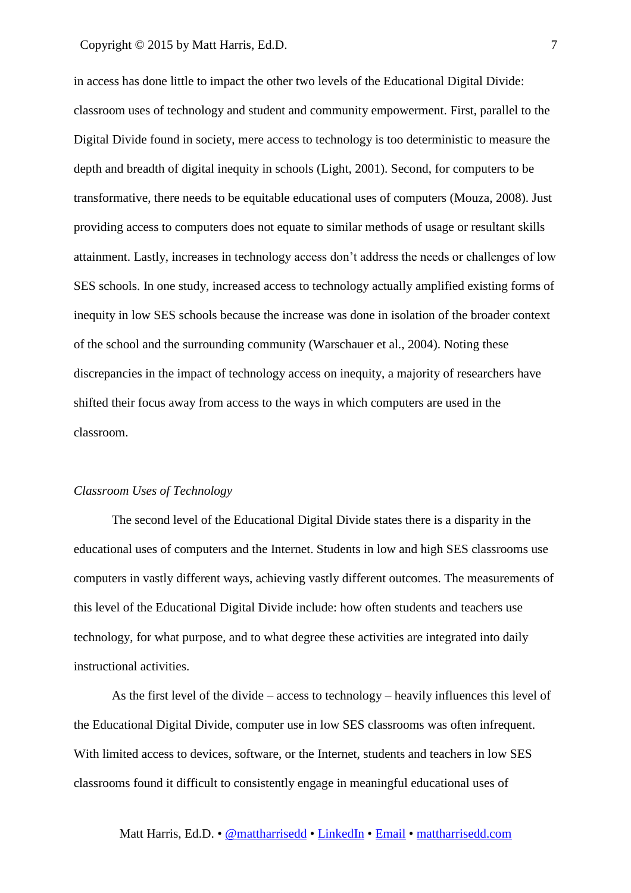in access has done little to impact the other two levels of the Educational Digital Divide: classroom uses of technology and student and community empowerment. First, parallel to the Digital Divide found in society, mere access to technology is too deterministic to measure the depth and breadth of digital inequity in schools (Light, 2001). Second, for computers to be transformative, there needs to be equitable educational uses of computers (Mouza, 2008). Just providing access to computers does not equate to similar methods of usage or resultant skills attainment. Lastly, increases in technology access don't address the needs or challenges of low SES schools. In one study, increased access to technology actually amplified existing forms of inequity in low SES schools because the increase was done in isolation of the broader context of the school and the surrounding community (Warschauer et al., 2004). Noting these discrepancies in the impact of technology access on inequity, a majority of researchers have shifted their focus away from access to the ways in which computers are used in the classroom.

# *Classroom Uses of Technology*

The second level of the Educational Digital Divide states there is a disparity in the educational uses of computers and the Internet. Students in low and high SES classrooms use computers in vastly different ways, achieving vastly different outcomes. The measurements of this level of the Educational Digital Divide include: how often students and teachers use technology, for what purpose, and to what degree these activities are integrated into daily instructional activities.

As the first level of the divide – access to technology – heavily influences this level of the Educational Digital Divide, computer use in low SES classrooms was often infrequent. With limited access to devices, software, or the Internet, students and teachers in low SES classrooms found it difficult to consistently engage in meaningful educational uses of

Matt Harris, Ed.D. • [@mattharrisedd](https://twitter.com/mattharrisedd) • [LinkedIn](http://j.mp/mattharrisedd) • [Email](mailto:matt@mattharrisedd.com) • [mattharrisedd.com](http://www.mattharrisedd.com/)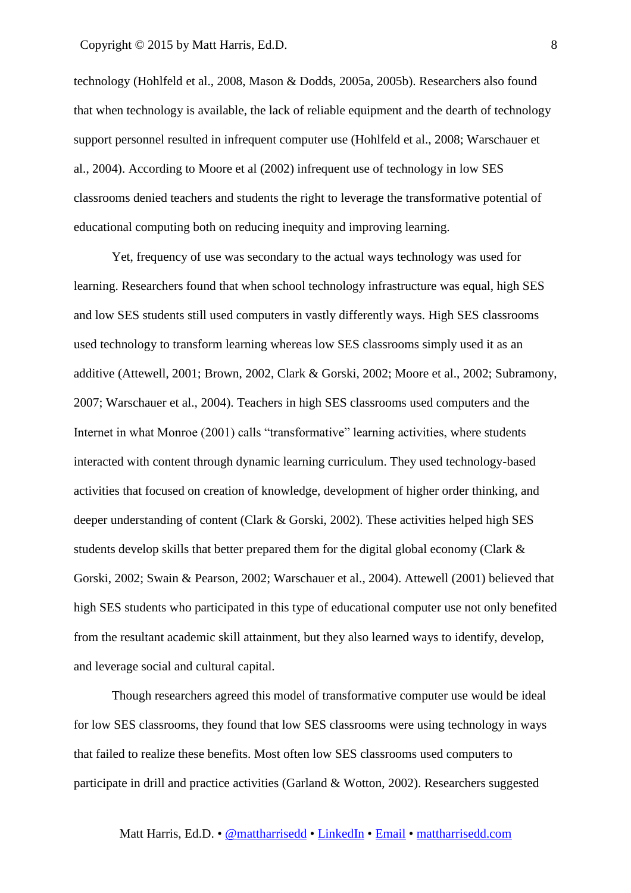technology (Hohlfeld et al., 2008, Mason & Dodds, 2005a, 2005b). Researchers also found that when technology is available, the lack of reliable equipment and the dearth of technology support personnel resulted in infrequent computer use (Hohlfeld et al., 2008; Warschauer et al., 2004). According to Moore et al (2002) infrequent use of technology in low SES classrooms denied teachers and students the right to leverage the transformative potential of educational computing both on reducing inequity and improving learning.

Yet, frequency of use was secondary to the actual ways technology was used for learning. Researchers found that when school technology infrastructure was equal, high SES and low SES students still used computers in vastly differently ways. High SES classrooms used technology to transform learning whereas low SES classrooms simply used it as an additive (Attewell, 2001; Brown, 2002, Clark & Gorski, 2002; Moore et al., 2002; Subramony, 2007; Warschauer et al., 2004). Teachers in high SES classrooms used computers and the Internet in what Monroe (2001) calls "transformative" learning activities, where students interacted with content through dynamic learning curriculum. They used technology-based activities that focused on creation of knowledge, development of higher order thinking, and deeper understanding of content (Clark & Gorski, 2002). These activities helped high SES students develop skills that better prepared them for the digital global economy (Clark & Gorski, 2002; Swain & Pearson, 2002; Warschauer et al., 2004). Attewell (2001) believed that high SES students who participated in this type of educational computer use not only benefited from the resultant academic skill attainment, but they also learned ways to identify, develop, and leverage social and cultural capital.

Though researchers agreed this model of transformative computer use would be ideal for low SES classrooms, they found that low SES classrooms were using technology in ways that failed to realize these benefits. Most often low SES classrooms used computers to participate in drill and practice activities (Garland & Wotton, 2002). Researchers suggested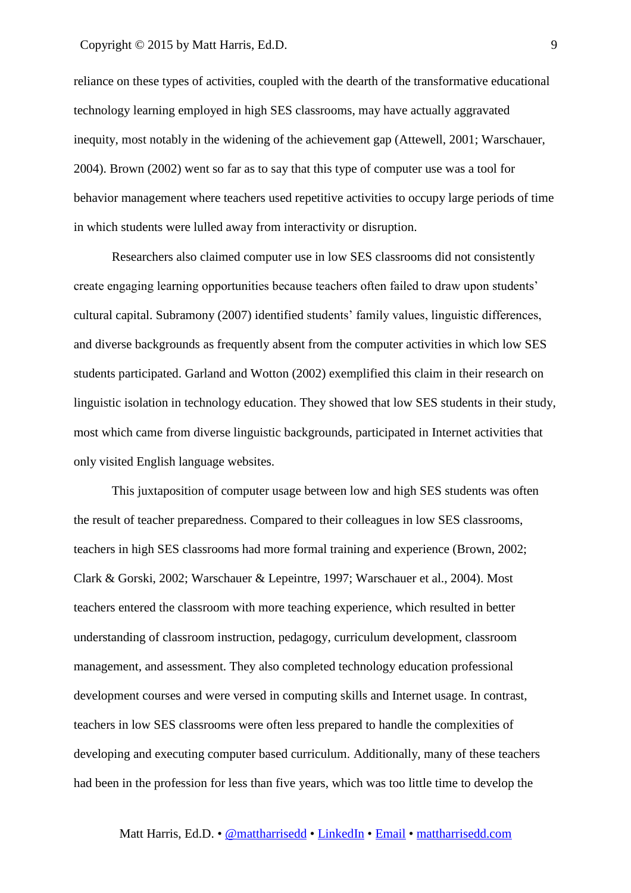reliance on these types of activities, coupled with the dearth of the transformative educational technology learning employed in high SES classrooms, may have actually aggravated inequity, most notably in the widening of the achievement gap (Attewell, 2001; Warschauer, 2004). Brown (2002) went so far as to say that this type of computer use was a tool for behavior management where teachers used repetitive activities to occupy large periods of time in which students were lulled away from interactivity or disruption.

Researchers also claimed computer use in low SES classrooms did not consistently create engaging learning opportunities because teachers often failed to draw upon students' cultural capital. Subramony (2007) identified students' family values, linguistic differences, and diverse backgrounds as frequently absent from the computer activities in which low SES students participated. Garland and Wotton (2002) exemplified this claim in their research on linguistic isolation in technology education. They showed that low SES students in their study, most which came from diverse linguistic backgrounds, participated in Internet activities that only visited English language websites.

This juxtaposition of computer usage between low and high SES students was often the result of teacher preparedness. Compared to their colleagues in low SES classrooms, teachers in high SES classrooms had more formal training and experience (Brown, 2002; Clark & Gorski, 2002; Warschauer & Lepeintre, 1997; Warschauer et al., 2004). Most teachers entered the classroom with more teaching experience, which resulted in better understanding of classroom instruction, pedagogy, curriculum development, classroom management, and assessment. They also completed technology education professional development courses and were versed in computing skills and Internet usage. In contrast, teachers in low SES classrooms were often less prepared to handle the complexities of developing and executing computer based curriculum. Additionally, many of these teachers had been in the profession for less than five years, which was too little time to develop the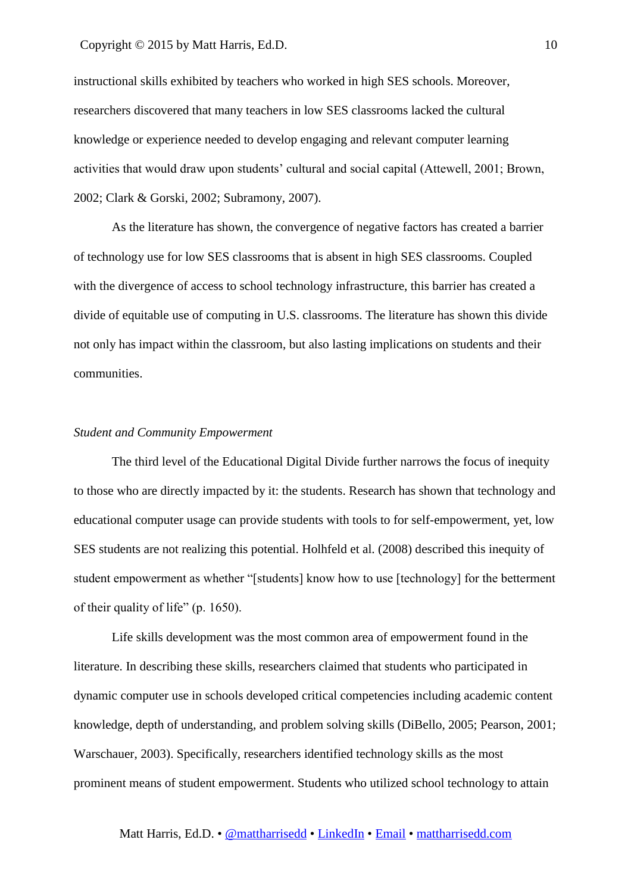instructional skills exhibited by teachers who worked in high SES schools. Moreover, researchers discovered that many teachers in low SES classrooms lacked the cultural knowledge or experience needed to develop engaging and relevant computer learning activities that would draw upon students' cultural and social capital (Attewell, 2001; Brown, 2002; Clark & Gorski, 2002; Subramony, 2007).

As the literature has shown, the convergence of negative factors has created a barrier of technology use for low SES classrooms that is absent in high SES classrooms. Coupled with the divergence of access to school technology infrastructure, this barrier has created a divide of equitable use of computing in U.S. classrooms. The literature has shown this divide not only has impact within the classroom, but also lasting implications on students and their communities.

### *Student and Community Empowerment*

The third level of the Educational Digital Divide further narrows the focus of inequity to those who are directly impacted by it: the students. Research has shown that technology and educational computer usage can provide students with tools to for self-empowerment, yet, low SES students are not realizing this potential. Holhfeld et al. (2008) described this inequity of student empowerment as whether "[students] know how to use [technology] for the betterment of their quality of life" (p. 1650).

Life skills development was the most common area of empowerment found in the literature. In describing these skills, researchers claimed that students who participated in dynamic computer use in schools developed critical competencies including academic content knowledge, depth of understanding, and problem solving skills (DiBello, 2005; Pearson, 2001; Warschauer, 2003). Specifically, researchers identified technology skills as the most prominent means of student empowerment. Students who utilized school technology to attain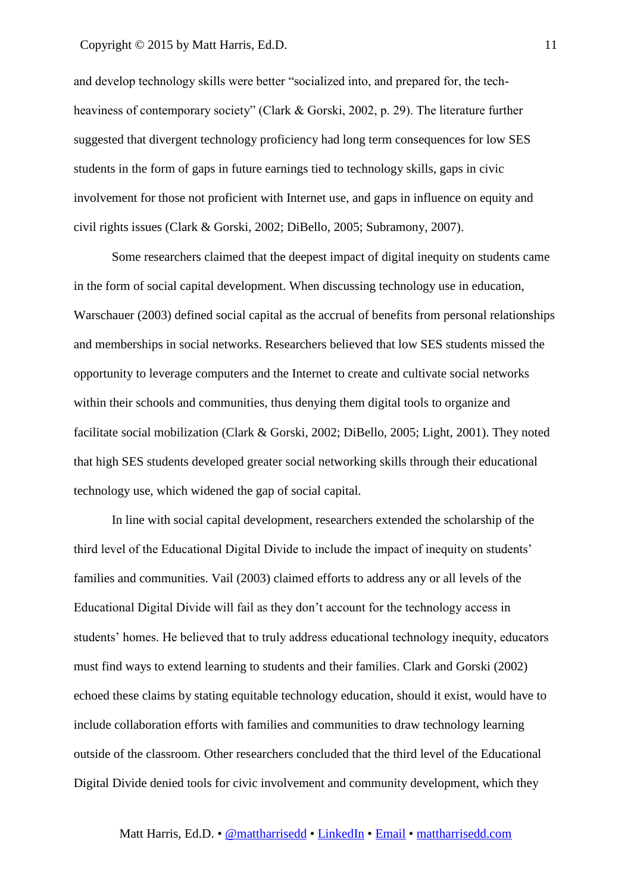and develop technology skills were better "socialized into, and prepared for, the techheaviness of contemporary society" (Clark & Gorski, 2002, p. 29). The literature further suggested that divergent technology proficiency had long term consequences for low SES students in the form of gaps in future earnings tied to technology skills, gaps in civic involvement for those not proficient with Internet use, and gaps in influence on equity and civil rights issues (Clark & Gorski, 2002; DiBello, 2005; Subramony, 2007).

Some researchers claimed that the deepest impact of digital inequity on students came in the form of social capital development. When discussing technology use in education, Warschauer (2003) defined social capital as the accrual of benefits from personal relationships and memberships in social networks. Researchers believed that low SES students missed the opportunity to leverage computers and the Internet to create and cultivate social networks within their schools and communities, thus denying them digital tools to organize and facilitate social mobilization (Clark & Gorski, 2002; DiBello, 2005; Light, 2001). They noted that high SES students developed greater social networking skills through their educational technology use, which widened the gap of social capital.

In line with social capital development, researchers extended the scholarship of the third level of the Educational Digital Divide to include the impact of inequity on students' families and communities. Vail (2003) claimed efforts to address any or all levels of the Educational Digital Divide will fail as they don't account for the technology access in students' homes. He believed that to truly address educational technology inequity, educators must find ways to extend learning to students and their families. Clark and Gorski (2002) echoed these claims by stating equitable technology education, should it exist, would have to include collaboration efforts with families and communities to draw technology learning outside of the classroom. Other researchers concluded that the third level of the Educational Digital Divide denied tools for civic involvement and community development, which they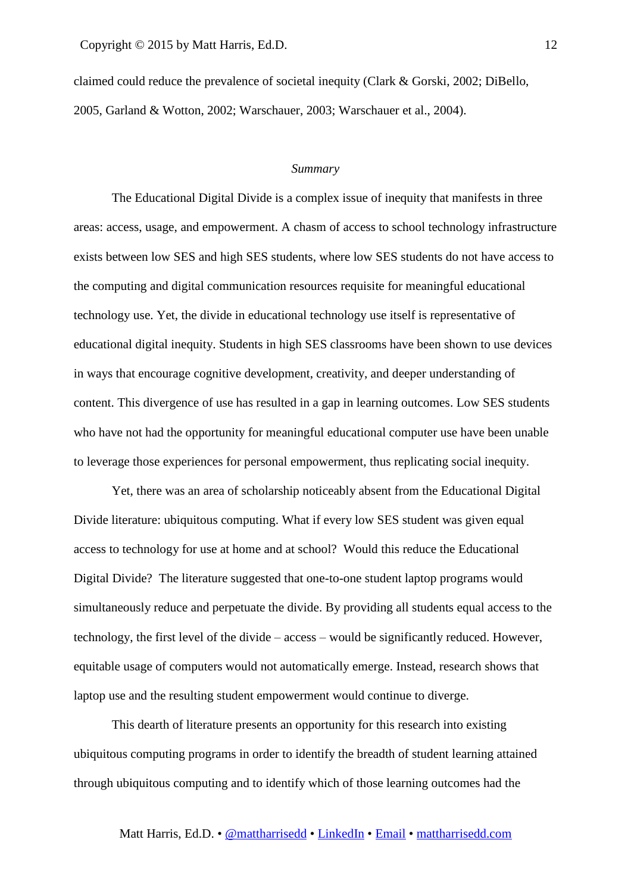claimed could reduce the prevalence of societal inequity (Clark & Gorski, 2002; DiBello, 2005, Garland & Wotton, 2002; Warschauer, 2003; Warschauer et al., 2004).

### *Summary*

The Educational Digital Divide is a complex issue of inequity that manifests in three areas: access, usage, and empowerment. A chasm of access to school technology infrastructure exists between low SES and high SES students, where low SES students do not have access to the computing and digital communication resources requisite for meaningful educational technology use. Yet, the divide in educational technology use itself is representative of educational digital inequity. Students in high SES classrooms have been shown to use devices in ways that encourage cognitive development, creativity, and deeper understanding of content. This divergence of use has resulted in a gap in learning outcomes. Low SES students who have not had the opportunity for meaningful educational computer use have been unable to leverage those experiences for personal empowerment, thus replicating social inequity.

Yet, there was an area of scholarship noticeably absent from the Educational Digital Divide literature: ubiquitous computing. What if every low SES student was given equal access to technology for use at home and at school? Would this reduce the Educational Digital Divide? The literature suggested that one-to-one student laptop programs would simultaneously reduce and perpetuate the divide. By providing all students equal access to the technology, the first level of the divide – access – would be significantly reduced. However, equitable usage of computers would not automatically emerge. Instead, research shows that laptop use and the resulting student empowerment would continue to diverge.

This dearth of literature presents an opportunity for this research into existing ubiquitous computing programs in order to identify the breadth of student learning attained through ubiquitous computing and to identify which of those learning outcomes had the

12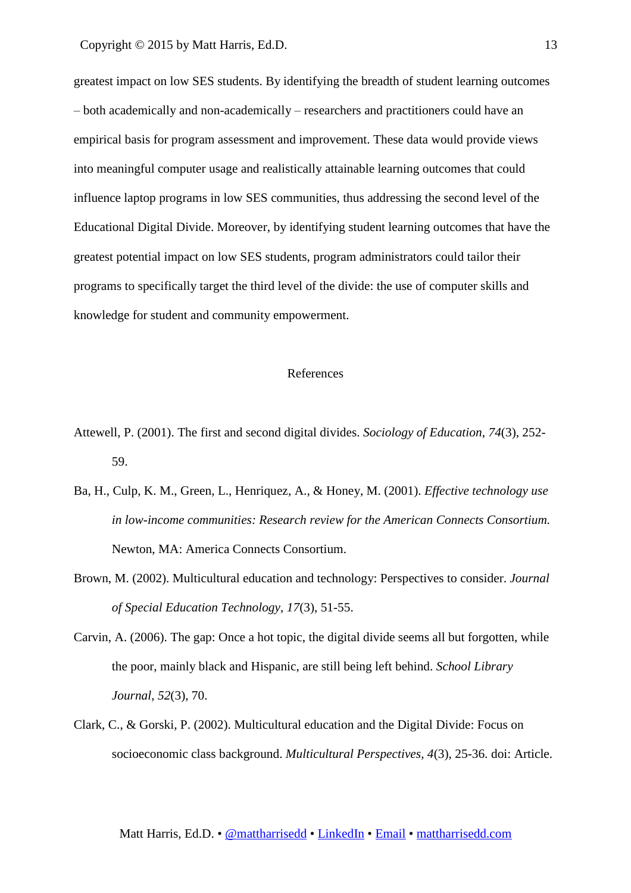greatest impact on low SES students. By identifying the breadth of student learning outcomes – both academically and non-academically – researchers and practitioners could have an empirical basis for program assessment and improvement. These data would provide views into meaningful computer usage and realistically attainable learning outcomes that could influence laptop programs in low SES communities, thus addressing the second level of the Educational Digital Divide. Moreover, by identifying student learning outcomes that have the greatest potential impact on low SES students, program administrators could tailor their programs to specifically target the third level of the divide: the use of computer skills and knowledge for student and community empowerment.

# References

- Attewell, P. (2001). The first and second digital divides. *Sociology of Education*, *74*(3), 252- 59.
- Ba, H., Culp, K. M., Green, L., Henriquez, A., & Honey, M. (2001). *Effective technology use in low-income communities: Research review for the American Connects Consortium.*  Newton, MA: America Connects Consortium.
- Brown, M. (2002). Multicultural education and technology: Perspectives to consider. *Journal of Special Education Technology*, *17*(3), 51-55.
- Carvin, A. (2006). The gap: Once a hot topic, the digital divide seems all but forgotten, while the poor, mainly black and Hispanic, are still being left behind. *School Library Journal*, *52*(3), 70.
- Clark, C., & Gorski, P. (2002). Multicultural education and the Digital Divide: Focus on socioeconomic class background. *Multicultural Perspectives*, *4*(3), 25-36. doi: Article.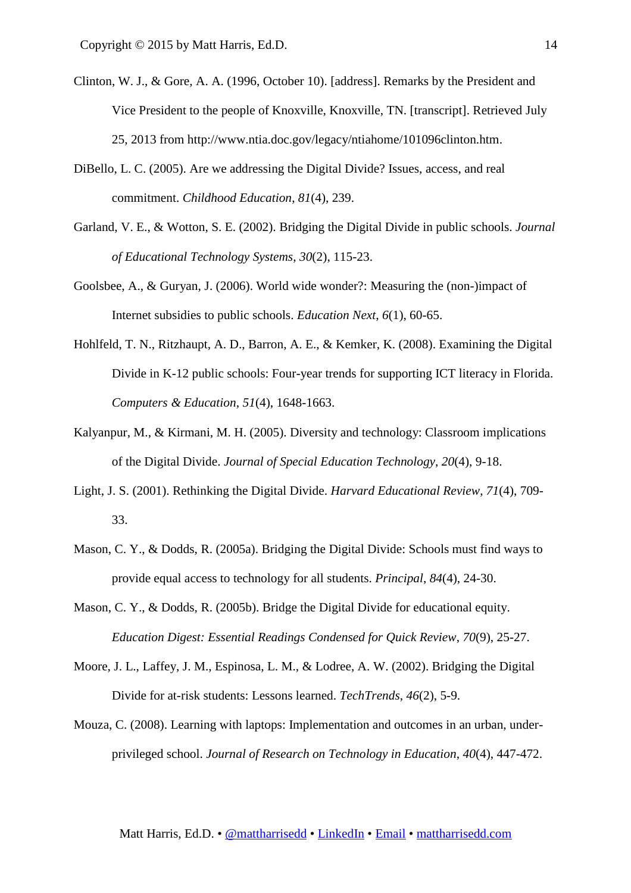- Clinton, W. J., & Gore, A. A. (1996, October 10). [address]. Remarks by the President and Vice President to the people of Knoxville, Knoxville, TN. [transcript]. Retrieved July 25, 2013 from http://www.ntia.doc.gov/legacy/ntiahome/101096clinton.htm.
- DiBello, L. C. (2005). Are we addressing the Digital Divide? Issues, access, and real commitment. *Childhood Education*, *81*(4), 239.
- Garland, V. E., & Wotton, S. E. (2002). Bridging the Digital Divide in public schools. *Journal of Educational Technology Systems*, *30*(2), 115-23.
- Goolsbee, A., & Guryan, J. (2006). World wide wonder?: Measuring the (non-)impact of Internet subsidies to public schools. *Education Next*, *6*(1), 60-65.
- Hohlfeld, T. N., Ritzhaupt, A. D., Barron, A. E., & Kemker, K. (2008). Examining the Digital Divide in K-12 public schools: Four-year trends for supporting ICT literacy in Florida. *Computers & Education*, *51*(4), 1648-1663.
- Kalyanpur, M., & Kirmani, M. H. (2005). Diversity and technology: Classroom implications of the Digital Divide. *Journal of Special Education Technology*, *20*(4), 9-18.
- Light, J. S. (2001). Rethinking the Digital Divide. *Harvard Educational Review*, *71*(4), 709- 33.
- Mason, C. Y., & Dodds, R. (2005a). Bridging the Digital Divide: Schools must find ways to provide equal access to technology for all students. *Principal*, *84*(4), 24-30.
- Mason, C. Y., & Dodds, R. (2005b). Bridge the Digital Divide for educational equity. *Education Digest: Essential Readings Condensed for Quick Review*, *70*(9), 25-27.
- Moore, J. L., Laffey, J. M., Espinosa, L. M., & Lodree, A. W. (2002). Bridging the Digital Divide for at-risk students: Lessons learned. *TechTrends*, *46*(2), 5-9.
- Mouza, C. (2008). Learning with laptops: Implementation and outcomes in an urban, underprivileged school. *Journal of Research on Technology in Education*, *40*(4), 447-472.